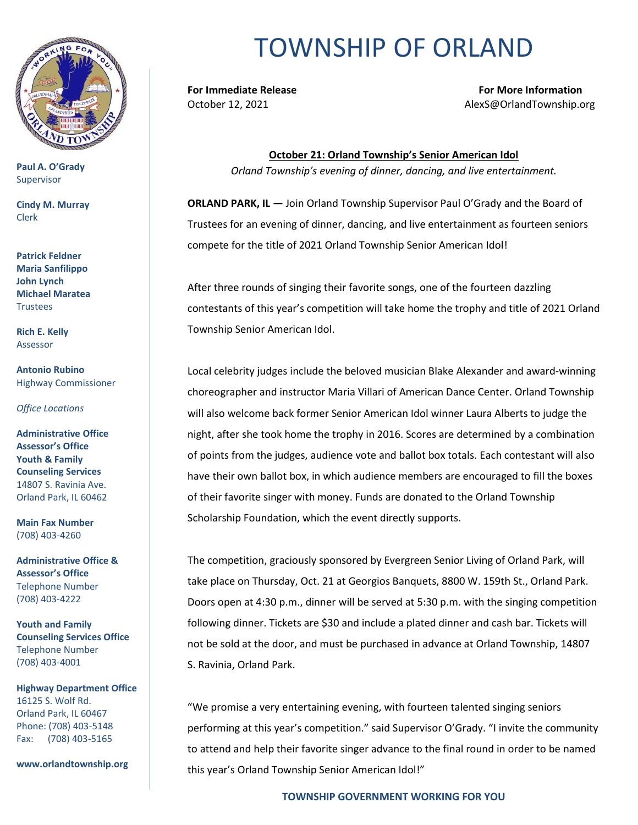

**Paul A. O'Grady** Supervisor

**Cindy M. Murray** Clerk

**Patrick Feldner Maria Sanfilippo John Lynch Michael Maratea Trustees** 

**Rich E. Kelly** Assessor

**Antonio Rubino** Highway Commissioner

*Office Locations*

**Administrative Office Assessor's Office Youth & Family Counseling Services** 14807 S. Ravinia Ave. Orland Park, IL 60462

**Main Fax Number**  (708) 403-4260

**Administrative Office & Assessor's Office**  Telephone Number (708) 403-4222

**Youth and Family Counseling Services Office**  Telephone Number (708) 403-4001

**Highway Department Office** 16125 S. Wolf Rd. Orland Park, IL 60467 Phone: (708) 403-5148 Fax: (708) 403-5165

**www.orlandtownship.org**

## TOWNSHIP OF ORLAND

**For Immediate Release For More Information** October 12, 2021 AlexS@OrlandTownship.org

> **October 21: Orland Township's Senior American Idol** *Orland Township's evening of dinner, dancing, and live entertainment.*

**ORLAND PARK, IL —** Join Orland Township Supervisor Paul O'Grady and the Board of Trustees for an evening of dinner, dancing, and live entertainment as fourteen seniors compete for the title of 2021 Orland Township Senior American Idol!

After three rounds of singing their favorite songs, one of the fourteen dazzling contestants of this year's competition will take home the trophy and title of 2021 Orland Township Senior American Idol.

Local celebrity judges include the beloved musician Blake Alexander and award-winning choreographer and instructor Maria Villari of American Dance Center. Orland Township will also welcome back former Senior American Idol winner Laura Alberts to judge the night, after she took home the trophy in 2016. Scores are determined by a combination of points from the judges, audience vote and ballot box totals. Each contestant will also have their own ballot box, in which audience members are encouraged to fill the boxes of their favorite singer with money. Funds are donated to the Orland Township Scholarship Foundation, which the event directly supports.

The competition, graciously sponsored by Evergreen Senior Living of Orland Park, will take place on Thursday, Oct. 21 at Georgios Banquets, 8800 W. 159th St., Orland Park. Doors open at 4:30 p.m., dinner will be served at 5:30 p.m. with the singing competition following dinner. Tickets are \$30 and include a plated dinner and cash bar. Tickets will not be sold at the door, and must be purchased in advance at Orland Township, 14807 S. Ravinia, Orland Park.

"We promise a very entertaining evening, with fourteen talented singing seniors performing at this year's competition." said Supervisor O'Grady. "I invite the community to attend and help their favorite singer advance to the final round in order to be named this year's Orland Township Senior American Idol!"